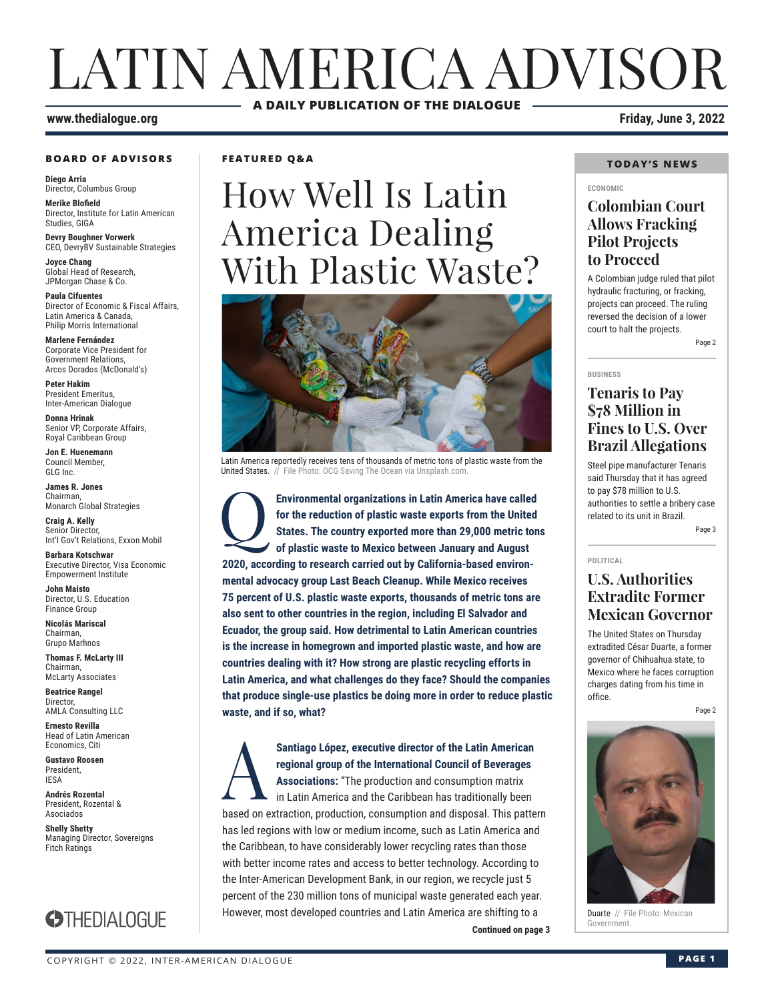## LATIN AMERICA ADVISOR **A DAILY PUBLICATION OF THE DIALOGUE**

#### **www.thedialogue.org Friday, June 3, 2022**

#### **BOARD OF ADVISORS**

**Diego Arria** Director, Columbus Group **Merike Blofield**

Director, Institute for Latin American Studies, GIGA

**Devry Boughner Vorwerk** CEO, DevryBV Sustainable Strategies

**Joyce Chang** Global Head of Research, JPMorgan Chase & Co.

**Paula Cifuentes** Director of Economic & Fiscal Affairs, Latin America & Canada, Philip Morris International

**Marlene Fernández** Corporate Vice President for Government Relations, Arcos Dorados (McDonald's)

**Peter Hakim** President Emeritus, Inter-American Dialogue

**Donna Hrinak** Senior VP, Corporate Affairs, Royal Caribbean Group

**Jon E. Huenemann** Council Member, GLG Inc.

**James R. Jones** Chairman, Monarch Global Strategies

**Craig A. Kelly** Senior Director, Int'l Gov't Relations, Exxon Mobil

**Barbara Kotschwar** Executive Director, Visa Economic Empowerment Institute

**John Maisto** Director, U.S. Education Finance Group

**Nicolás Mariscal** Chairman, Grupo Marhnos

**Thomas F. McLarty III** Chairman, McLarty Associates

**Beatrice Rangel**  Director, AMLA Consulting LLC

**Ernesto Revilla**  Head of Latin American

Economics, Citi **Gustavo Roosen** President, IESA

**Andrés Rozental**  President, Rozental & Asociados

**Shelly Shetty** Managing Director, Sovereigns Fitch Ratings



#### **FEATURED Q&A**

## How Well Is Latin America Dealing With Plastic Waste?



Latin America reportedly receives tens of thousands of metric tons of plastic waste from the United States. // File Photo: OCG Saving The Ocean via Unsplash.com

**Environmental organizations in Latin America have called for the reduction of plastic waste exports from the United States. The country exported more than 29,000 metric ton of plastic waste to Mexico between January and A for the reduction of plastic waste exports from the United States. The country exported more than 29,000 metric tons of plastic waste to Mexico between January and August 2020, according to research carried out by California-based environmental advocacy group Last Beach Cleanup. While Mexico receives 75 percent of U.S. plastic waste exports, thousands of metric tons are also sent to other countries in the region, including El Salvador and Ecuador, the group said. How detrimental to Latin American countries is the increase in homegrown and imported plastic waste, and how are countries dealing with it? How strong are plastic recycling efforts in Latin America, and what challenges do they face? Should the companies that produce single-use plastics be doing more in order to reduce plastic waste, and if so, what?**

**Continued on page 3** Santiago López, executive director of the Latin American regional group of the International Council of Beverages<br>Associations: "The production and consumption matrix<br>in Latin America and the Caribbean has traditionally be **regional group of the International Council of Beverages Associations:** "The production and consumption matrix in Latin America and the Caribbean has traditionally been based on extraction, production, consumption and disposal. This pattern has led regions with low or medium income, such as Latin America and the Caribbean, to have considerably lower recycling rates than those with better income rates and access to better technology. According to the Inter-American Development Bank, in our region, we recycle just 5 percent of the 230 million tons of municipal waste generated each year. However, most developed countries and Latin America are shifting to a

#### **TODAY'S NEWS**

#### **ECONOMIC**

#### **Colombian Court Allows Fracking Pilot Projects to Proceed**

A Colombian judge ruled that pilot hydraulic fracturing, or fracking, projects can proceed. The ruling reversed the decision of a lower court to halt the projects. Page 2

#### **BUSINESS**

**POLITICAL**

#### **Tenaris to Pay \$78 Million in Fines to U.S. Over Brazil Allegations**

Steel pipe manufacturer Tenaris said Thursday that it has agreed to pay \$78 million to U.S. authorities to settle a bribery case related to its unit in Brazil.

Page 3

#### **U.S. Authorities Extradite Former Mexican Governor**

The United States on Thursday extradited César Duarte, a former governor of Chihuahua state, to Mexico where he faces corruption charges dating from his time in office.

Page 2



**Duarte** // File Photo: Mexican<br>Government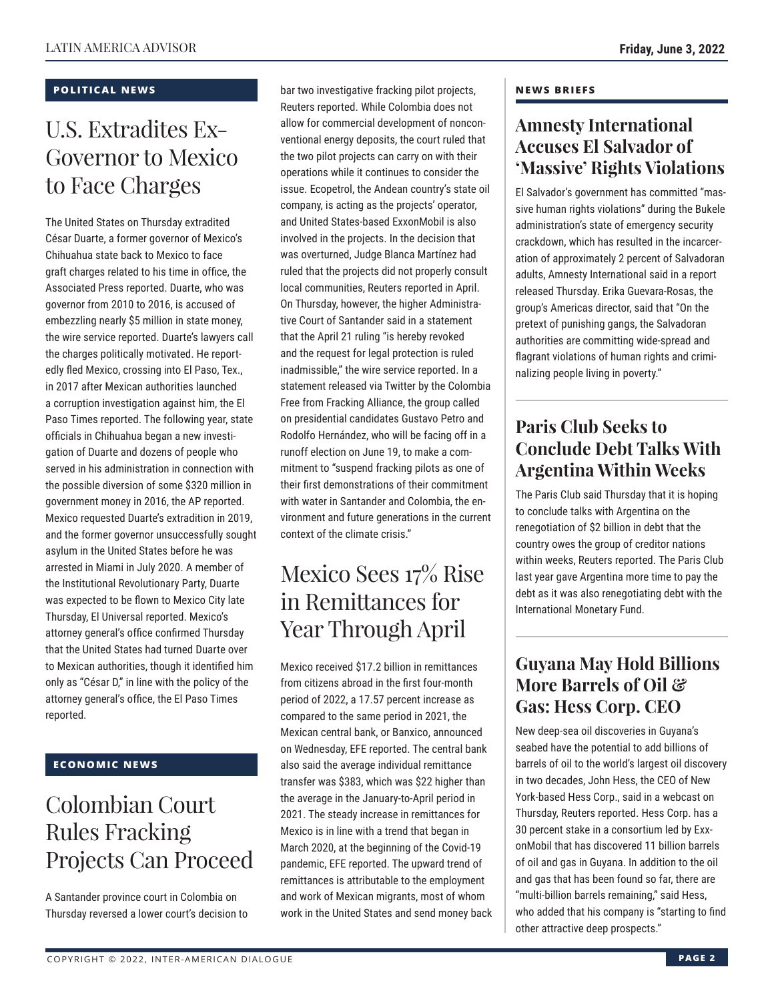#### **POLITICAL NEWS**

## U.S. Extradites Ex-Governor to Mexico to Face Charges

The United States on Thursday extradited César Duarte, a former governor of Mexico's Chihuahua state back to Mexico to face graft charges related to his time in office, the Associated Press reported. Duarte, who was governor from 2010 to 2016, is accused of embezzling nearly \$5 million in state money, the wire service reported. Duarte's lawyers call the charges politically motivated. He reportedly fled Mexico, crossing into El Paso, Tex., in 2017 after Mexican authorities launched a corruption investigation against him, the El Paso Times reported. The following year, state officials in Chihuahua began a new investigation of Duarte and dozens of people who served in his administration in connection with the possible diversion of some \$320 million in government money in 2016, the AP reported. Mexico requested Duarte's extradition in 2019, and the former governor unsuccessfully sought asylum in the United States before he was arrested in Miami in July 2020. A member of the Institutional Revolutionary Party, Duarte was expected to be flown to Mexico City late Thursday, El Universal reported. Mexico's attorney general's office confirmed Thursday that the United States had turned Duarte over to Mexican authorities, though it identified him only as "César D," in line with the policy of the attorney general's office, the El Paso Times reported.

#### **ECONOMIC NEWS**

## Colombian Court Rules Fracking Projects Can Proceed

A Santander province court in Colombia on Thursday reversed a lower court's decision to

bar two investigative fracking pilot projects, Reuters reported. While Colombia does not allow for commercial development of nonconventional energy deposits, the court ruled that the two pilot projects can carry on with their operations while it continues to consider the issue. Ecopetrol, the Andean country's state oil company, is acting as the projects' operator, and United States-based ExxonMobil is also involved in the projects. In the decision that was overturned, Judge Blanca Martínez had ruled that the projects did not properly consult local communities, Reuters reported in April. On Thursday, however, the higher Administrative Court of Santander said in a statement that the April 21 ruling "is hereby revoked and the request for legal protection is ruled inadmissible," the wire service reported. In a statement released via Twitter by the Colombia Free from Fracking Alliance, the group called on presidential candidates Gustavo Petro and Rodolfo Hernández, who will be facing off in a runoff election on June 19, to make a commitment to "suspend fracking pilots as one of their first demonstrations of their commitment with water in Santander and Colombia, the environment and future generations in the current context of the climate crisis."

## Mexico Sees 17% Rise in Remittances for Year Through April

Mexico received \$17.2 billion in remittances from citizens abroad in the first four-month period of 2022, a 17.57 percent increase as compared to the same period in 2021, the Mexican central bank, or Banxico, announced on Wednesday, EFE reported. The central bank also said the average individual remittance transfer was \$383, which was \$22 higher than the average in the January-to-April period in 2021. The steady increase in remittances for Mexico is in line with a trend that began in March 2020, at the beginning of the Covid-19 pandemic, EFE reported. The upward trend of remittances is attributable to the employment and work of Mexican migrants, most of whom work in the United States and send money back

#### **NEWS BRIEFS**

#### **Amnesty International Accuses El Salvador of 'Massive' Rights Violations**

El Salvador's government has committed "massive human rights violations" during the Bukele administration's state of emergency security crackdown, which has resulted in the incarceration of approximately 2 percent of Salvadoran adults, Amnesty International said in a report released Thursday. Erika Guevara-Rosas, the group's Americas director, said that "On the pretext of punishing gangs, the Salvadoran authorities are committing wide-spread and flagrant violations of human rights and criminalizing people living in poverty."

### **Paris Club Seeks to Conclude Debt Talks With Argentina Within Weeks**

The Paris Club said Thursday that it is hoping to conclude talks with Argentina on the renegotiation of \$2 billion in debt that the country owes the group of creditor nations within weeks, Reuters reported. The Paris Club last year gave Argentina more time to pay the debt as it was also renegotiating debt with the International Monetary Fund.

#### **Guyana May Hold Billions More Barrels of Oil & Gas: Hess Corp. CEO**

New deep-sea oil discoveries in Guyana's seabed have the potential to add billions of barrels of oil to the world's largest oil discovery in two decades, John Hess, the CEO of New York-based Hess Corp., said in a webcast on Thursday, Reuters reported. Hess Corp. has a 30 percent stake in a consortium led by ExxonMobil that has discovered 11 billion barrels of oil and gas in Guyana. In addition to the oil and gas that has been found so far, there are "multi-billion barrels remaining," said Hess, who added that his company is "starting to find other attractive deep prospects."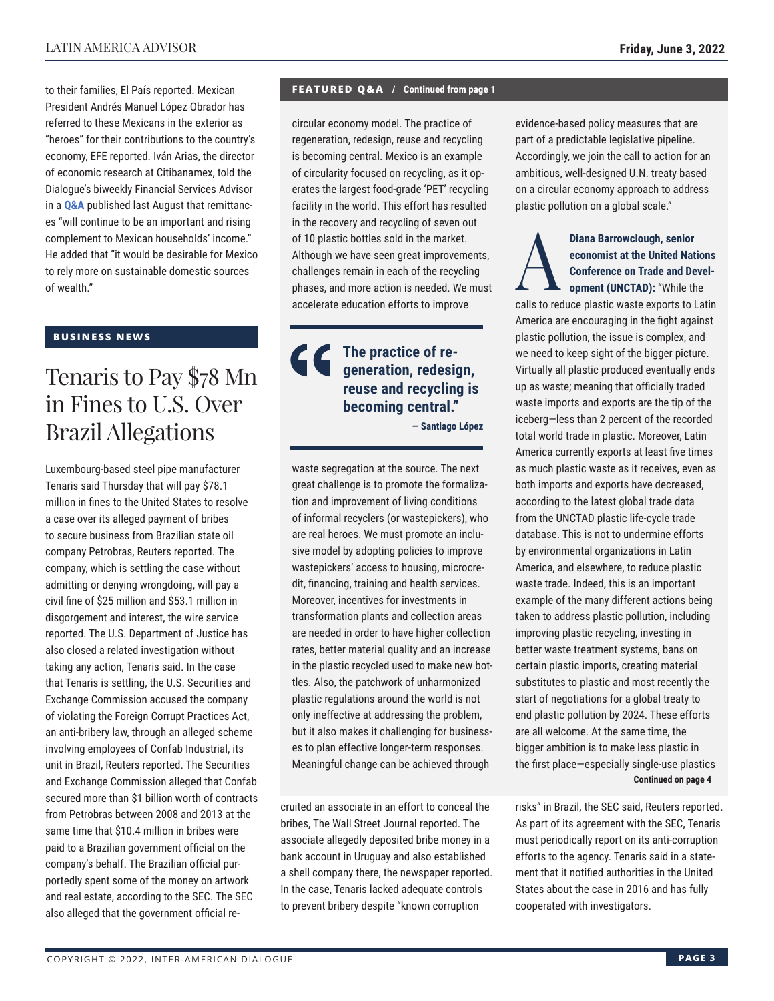to their families, El País reported. Mexican President Andrés Manuel López Obrador has referred to these Mexicans in the exterior as "heroes" for their contributions to the country's economy, EFE reported. Iván Arias, the director of economic research at Citibanamex, told the Dialogue's biweekly Financial Services Advisor in a **[Q&A](https://www.thedialogue.org/wp-content/uploads/2021/08/FSA210825.pdf)** published last August that remittances "will continue to be an important and rising complement to Mexican households' income." He added that "it would be desirable for Mexico to rely more on sustainable domestic sources of wealth."

#### **BUSINESS NEWS**

## Tenaris to Pay \$78 Mn in Fines to U.S. Over Brazil Allegations

Luxembourg-based steel pipe manufacturer Tenaris said Thursday that will pay \$78.1 million in fines to the United States to resolve a case over its alleged payment of bribes to secure business from Brazilian state oil company Petrobras, Reuters reported. The company, which is settling the case without admitting or denying wrongdoing, will pay a civil fine of \$25 million and \$53.1 million in disgorgement and interest, the wire service reported. The U.S. Department of Justice has also closed a related investigation without taking any action, Tenaris said. In the case that Tenaris is settling, the U.S. Securities and Exchange Commission accused the company of violating the Foreign Corrupt Practices Act, an anti-bribery law, through an alleged scheme involving employees of Confab Industrial, its unit in Brazil, Reuters reported. The Securities and Exchange Commission alleged that Confab secured more than \$1 billion worth of contracts from Petrobras between 2008 and 2013 at the same time that \$10.4 million in bribes were paid to a Brazilian government official on the company's behalf. The Brazilian official purportedly spent some of the money on artwork and real estate, according to the SEC. The SEC also alleged that the government official re-

#### **FEATURED Q&A / Continued from page 1**

circular economy model. The practice of regeneration, redesign, reuse and recycling is becoming central. Mexico is an example of circularity focused on recycling, as it operates the largest food-grade 'PET' recycling facility in the world. This effort has resulted in the recovery and recycling of seven out of 10 plastic bottles sold in the market. Although we have seen great improvements, challenges remain in each of the recycling phases, and more action is needed. We must accelerate education efforts to improve

 $\epsilon$ **The practice of regeneration, redesign, reuse and recycling is becoming central." — Santiago López**

waste segregation at the source. The next great challenge is to promote the formalization and improvement of living conditions of informal recyclers (or wastepickers), who are real heroes. We must promote an inclusive model by adopting policies to improve wastepickers' access to housing, microcredit, financing, training and health services. Moreover, incentives for investments in transformation plants and collection areas are needed in order to have higher collection rates, better material quality and an increase in the plastic recycled used to make new bottles. Also, the patchwork of unharmonized plastic regulations around the world is not only ineffective at addressing the problem, but it also makes it challenging for businesses to plan effective longer-term responses. Meaningful change can be achieved through

cruited an associate in an effort to conceal the bribes, The Wall Street Journal reported. The associate allegedly deposited bribe money in a bank account in Uruguay and also established a shell company there, the newspaper reported. In the case, Tenaris lacked adequate controls to prevent bribery despite "known corruption

evidence-based policy measures that are part of a predictable legislative pipeline. Accordingly, we join the call to action for an ambitious, well-designed U.N. treaty based on a circular economy approach to address plastic pollution on a global scale."

#### Diana Barrowclough, senior<br>
economist at the United Nat<br>
Conference on Trade and De<br>
opment (UNCTAD): "While the<br>
colle to reduce pleatin wests expects to be **economist at the United Nations Conference on Trade and Development (UNCTAD):** "While the

calls to reduce plastic waste exports to Latin America are encouraging in the fight against plastic pollution, the issue is complex, and we need to keep sight of the bigger picture. Virtually all plastic produced eventually ends up as waste; meaning that officially traded waste imports and exports are the tip of the iceberg—less than 2 percent of the recorded total world trade in plastic. Moreover, Latin America currently exports at least five times as much plastic waste as it receives, even as both imports and exports have decreased, according to the latest global trade data from the UNCTAD plastic life-cycle trade database. This is not to undermine efforts by environmental organizations in Latin America, and elsewhere, to reduce plastic waste trade. Indeed, this is an important example of the many different actions being taken to address plastic pollution, including improving plastic recycling, investing in better waste treatment systems, bans on certain plastic imports, creating material substitutes to plastic and most recently the start of negotiations for a global treaty to end plastic pollution by 2024. These efforts are all welcome. At the same time, the bigger ambition is to make less plastic in the first place—especially single-use plastics **Continued on page 4** 

risks" in Brazil, the SEC said, Reuters reported. As part of its agreement with the SEC, Tenaris must periodically report on its anti-corruption efforts to the agency. Tenaris said in a statement that it notified authorities in the United States about the case in 2016 and has fully cooperated with investigators.